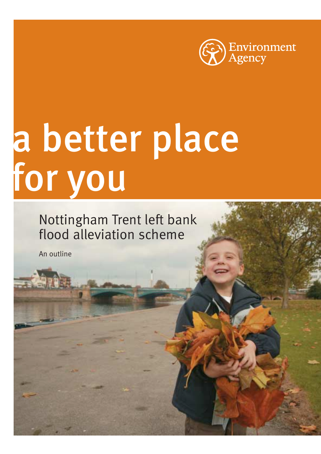

## a better place for you

Nottingham Trent left bank flood alleviation scheme

An outline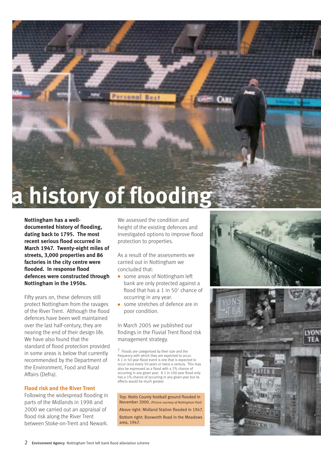

**Nottingham has a welldocumented history of flooding, dating back to 1795. The most recent serious flood occurred in March 1947. Twenty-eight miles of streets, 3,000 properties and 86 factories in the city centre were flooded. In response flood defences were constructed through Nottingham in the 1950s.**

Fifty years on, these defences still protect Nottingham from the ravages of the River Trent. Although the flood defences have been well maintained over the last half-century, they are nearing the end of their design life. We have also found that the standard of flood protection provided in some areas is below that currently recommended by the Department of the Environment, Food and Rural Affairs (Defra).

#### **Flood risk and the River Trent**

Following the widespread flooding in parts of the Midlands in 1998 and 2000 we carried out an appraisal of flood risk along the River Trent between Stoke-on-Trent and Newark.

We assessed the condition and height of the existing defences and investigated options to improve flood protection to properties.

As a result of the assessments we carried out in Nottingham we concluded that:

- some areas of Nottingham left bank are only protected against a flood that has a 1 in  $50<sup>1</sup>$  chance of occurring in any year.
- some stretches of defence are in poor condition.

In March 2005 we published our findings in the Fluvial Trent flood risk management strategy.

 $1$  Floods are categorised by their size and the frequency with which they are expected to occur. A 1 in 50 year flood event is one that is expected to occur once every 50 years or twice a century. This may also be expressed as a flood with a 2% chance of occurring in any given year. A 1 in 100 year flood only has a 1% chance of occurring in any given year but its effects would be much greater.

Top: Notts County football ground flooded in November 2000. *(Picture courtesy of Nottingham Post)* Above right: Midland Station flooded in 1947. Bottom right: Bosworth Road in the Meadows area, 1947.

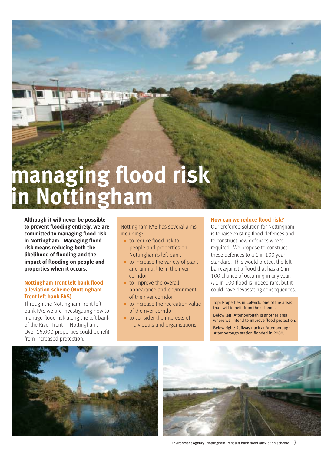# **managing flood risk in Nottingham**

**Although it will never be possible to prevent flooding entirely, we are committed to managing flood risk in Nottingham. Managing flood risk means reducing both the likelihood of flooding and the impact of flooding on people and properties when it occurs.**

#### **Nottingham Trent left bank flood alleviation scheme (Nottingham Trent left bank FAS)**

Through the Nottingham Trent left bank FAS we are investigating how to manage flood risk along the left bank of the River Trent in Nottingham. Over 15,000 properties could benefit from increased protection.

Nottingham FAS has several aims including:

- to reduce flood risk to people and properties on Nottingham's left bank
- $\bullet$  to increase the variety of plant and animal life in the river corridor
- to improve the overall appearance and environment of the river corridor
- to increase the recreation value of the river corridor
- to consider the interests of individuals and organisations.

#### **How can we reduce flood risk?**

Our preferred solution for Nottingham is to raise existing flood defences and to construct new defences where required. We propose to construct these defences to a 1 in 100 year standard. This would protect the left bank against a flood that has a 1 in 100 chance of occurring in any year. A 1 in 100 flood is indeed rare, but it could have devastating consequences.

Top: Properties in Colwick, one of the areas that will benefit from the scheme.

Below left: Attenborough is another area where we intend to improve flood protection.

Below right: Railway track at Attenborough. Attenborough station flooded in 2000.



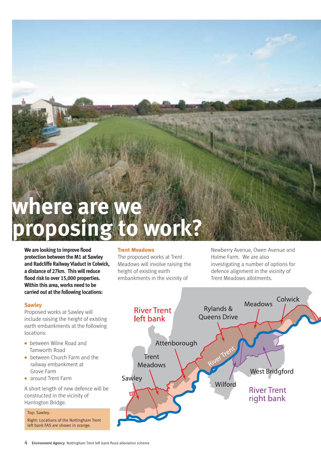### **where are we proposing**

**We are looking to improve flood protection between the M1 at Sawley and Radcliffe Railway Viaduct in Colwick, a distance of 27km. This will reduce flood risk to over 15,000 properties. Within this area, works need to be carried out at the following locations:**

#### **Sawley**

Proposed works at Sawley will include raising the height of existing earth embankments at the following locations:

- between Wilne Road and Tamworth Road
- between Church Farm and the railway embankment at Grove Farm
- around Trent Farm

A short length of new defence will be constructed in the vicinity of Harrington Bridge.

#### Top: Sawley.

Right: Locations of the Nottingham Trent left bank FAS are shown in orange.

#### **Trent Meadows**

The proposed works at Trent Meadows will involve raising the height of existing earth embankments in the vicinity of

Newberry Avenue, Owen Avenue and Holme Farm. We are also investigating a number of options for defence alignment in the vicinity of Trent Meadows allotments.

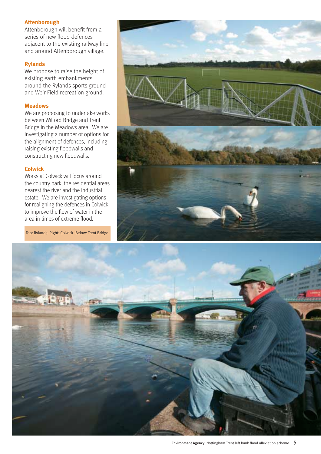#### **Attenborough**

Attenborough will benefit from a series of new flood defences adjacent to the existing railway line and around Attenborough village.

#### **Rylands**

We propose to raise the height of existing earth embankments around the Rylands sports ground and Weir Field recreation ground.

#### **Meadows**

We are proposing to undertake works between Wilford Bridge and Trent Bridge in the Meadows area. We are investigating a number of options for the alignment of defences, including raising existing floodwalls and constructing new floodwalls.

#### **Colwick**

Works at Colwick will focus around the country park, the residential areas nearest the river and the industrial estate. We are investigating options for realigning the defences in Colwick to improve the flow of water in the area in times of extreme flood.

Top: Rylands. Right: Colwick. Below: Trent Bridge.



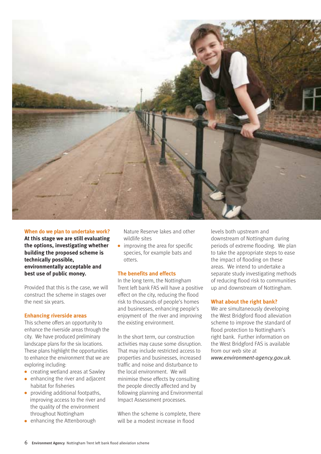

#### **When do we plan to undertake work?**

**At this stage we are still evaluating the options, investigating whether building the proposed scheme is technically possible, environmentally acceptable and best use of public money.**

Provided that this is the case, we will construct the scheme in stages over the next six years.

#### **Enhancing riverside areas**

This scheme offers an opportunity to enhance the riverside areas through the city. We have produced preliminary landscape plans for the six locations. These plans highlight the opportunities to enhance the environment that we are exploring including:

- creating wetland areas at Sawley
- enhancing the river and adjacent habitat for fisheries
- providing additional footpaths, improving access to the river and the quality of the environment throughout Nottingham
- enhancing the Attenborough

Nature Reserve lakes and other wildlife sites

 $\bullet$  improving the area for specific species, for example bats and otters.

#### **The benefits and effects**

In the long term, the Nottingham Trent left bank FAS will have a positive effect on the city, reducing the flood risk to thousands of people's homes and businesses, enhancing people's enjoyment of the river and improving the existing environment.

In the short term, our construction activities may cause some disruption. That may include restricted access to properties and businesses, increased traffic and noise and disturbance to the local environment. We will minimise these effects by consulting the people directly affected and by following planning and Environmental Impact Assessment processes.

When the scheme is complete, there will be a modest increase in flood

levels both upstream and downstream of Nottingham during periods of extreme flooding. We plan to take the appropriate steps to ease the impact of flooding on these areas. We intend to undertake a separate study investigating methods of reducing flood risk to communities up and downstream of Nottingham.

#### **What about the right bank?**

We are simultaneously developing the West Bridgford flood alleviation scheme to improve the standard of flood protection to Nottingham's right bank. Further information on the West Bridgford FAS is available from our web site at *www.environment-agency.gov.uk*.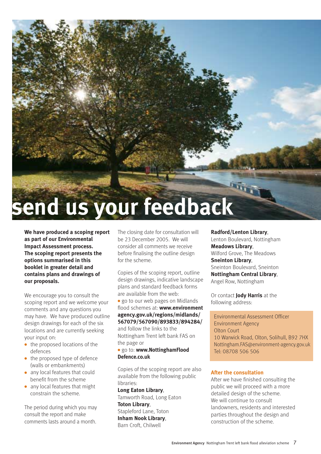

**We have produced a scoping report as part of our Environmental Impact Assessment process. The scoping report presents the options summarised in this booklet in greater detail and contains plans and drawings of our proposals.**

We encourage you to consult the scoping report and we welcome your comments and any questions you may have. We have produced outline design drawings for each of the six locations and are currently seeking your input on:

- the proposed locations of the defences
- the proposed type of defence (walls or embankments)
- any local features that could benefit from the scheme
- any local features that might constrain the scheme.

The period during which you may consult the report and make comments lasts around a month.

The closing date for consultation will be 23 December 2005. We will consider all comments we receive before finalising the outline design for the scheme.

Copies of the scoping report, outline design drawings, indicative landscape plans and standard feedback forms are available from the web:

● go to our web pages on Midlands flood schemes at: **www.environment agency.gov.uk/regions/midlands/ 567079/567090/893833/894284/** and follow the links to the Nottingham Trent left bank FAS on

the page or

#### ● go to: **www.NottinghamFlood Defence.co.uk**

Copies of the scoping report are also available from the following public libraries:

**Long Eaton Library**, Tamworth Road, Long Eaton **Toton Library**, Stapleford Lane, Toton **Inham Nook Library**, Barn Croft, Chilwell

#### **Radford/Lenton Library**,

Lenton Boulevard, Nottingham **Meadows Library**, Wilford Grove, The Meadows **Sneinton Library**, Sneinton Boulevard, Sneinton **Nottingham Central Library**, Angel Row, Nottingham

Or contact **Jody Harris** at the following address:

Environmental Assessment Officer Environment Agency Olton Court 10 Warwick Road, Olton, Solihull, B92 7HX Nottingham.FAS@environment-agency.gov.uk Tel: 08708 506 506

#### **After the consultation**

After we have finished consulting the public we will proceed with a more detailed design of the scheme. We will continue to consult landowners, residents and interested parties throughout the design and construction of the scheme.